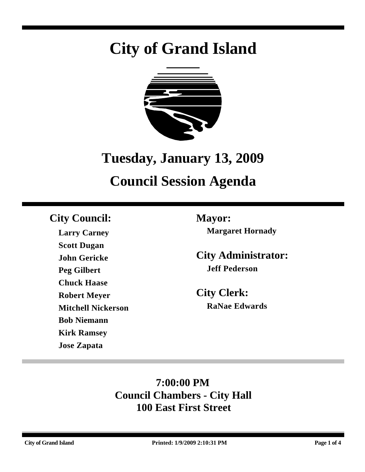# **City of Grand Island**



## **Tuesday, January 13, 2009**

## **Council Session Agenda**

### **City Council: Mayor:**

**Larry Carney Scott Dugan John Gericke Peg Gilbert Chuck Haase Robert Meyer Mitchell Nickerson Bob Niemann Kirk Ramsey Jose Zapata**

**Margaret Hornady**

**City Administrator: Jeff Pederson**

**City Clerk: RaNae Edwards**

### **7:00:00 PM Council Chambers - City Hall 100 East First Street**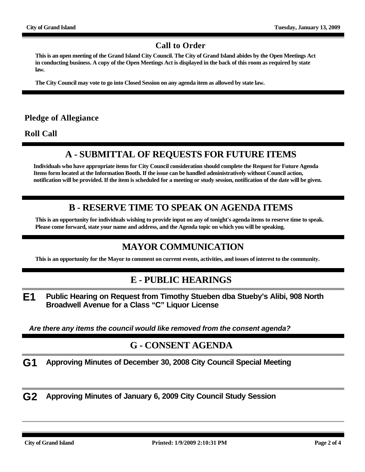#### **Call to Order**

**This is an open meeting of the Grand Island City Council. The City of Grand Island abides by the Open Meetings Act in conducting business. A copy of the Open Meetings Act is displayed in the back of this room as required by state law.**

**The City Council may vote to go into Closed Session on any agenda item as allowed by state law.**

#### **Pledge of Allegiance**

**Roll Call**

#### **A - SUBMITTAL OF REQUESTS FOR FUTURE ITEMS**

**Individuals who have appropriate items for City Council consideration should complete the Request for Future Agenda Items form located at the Information Booth. If the issue can be handled administratively without Council action, notification will be provided. If the item is scheduled for a meeting or study session, notification of the date will be given.**

#### **B - RESERVE TIME TO SPEAK ON AGENDA ITEMS**

**This is an opportunity for individuals wishing to provide input on any of tonight's agenda items to reserve time to speak. Please come forward, state your name and address, and the Agenda topic on which you will be speaking.**

#### **MAYOR COMMUNICATION**

**This is an opportunity for the Mayor to comment on current events, activities, and issues of interest to the community.**

#### **E - PUBLIC HEARINGS**

**E1 Public Hearing on Request from Timothy Stueben dba Stueby's Alibi, 908 North Broadwell Avenue for a Class "C" Liquor License**

*Are there any items the council would like removed from the consent agenda?*

#### **G - CONSENT AGENDA**

**G1 Approving Minutes of December 30, 2008 City Council Special Meeting**

**G2 Approving Minutes of January 6, 2009 City Council Study Session**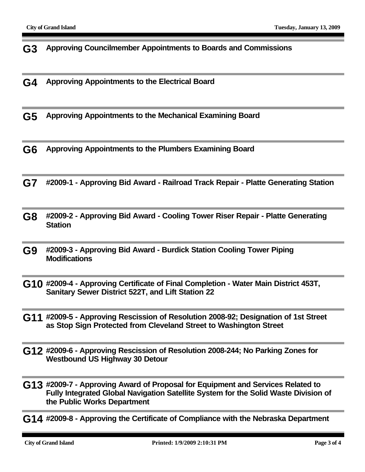**G3 Approving Councilmember Appointments to Boards and Commissions**

**G4 Approving Appointments to the Electrical Board**

**G5 Approving Appointments to the Mechanical Examining Board**

**G6 Approving Appointments to the Plumbers Examining Board**

**G7 #2009-1 - Approving Bid Award - Railroad Track Repair - Platte Generating Station**

**G8 #2009-2 - Approving Bid Award - Cooling Tower Riser Repair - Platte Generating Station**

**G9 #2009-3 - Approving Bid Award - Burdick Station Cooling Tower Piping Modifications**

**G10 #2009-4 - Approving Certificate of Final Completion - Water Main District 453T, Sanitary Sewer District 522T, and Lift Station 22**

**G11 #2009-5 - Approving Rescission of Resolution 2008-92; Designation of 1st Street as Stop Sign Protected from Cleveland Street to Washington Street**

**G12 #2009-6 - Approving Rescission of Resolution 2008-244; No Parking Zones for Westbound US Highway 30 Detour**

**G13 #2009-7 - Approving Award of Proposal for Equipment and Services Related to Fully Integrated Global Navigation Satellite System for the Solid Waste Division of the Public Works Department**

**G14 #2009-8 - Approving the Certificate of Compliance with the Nebraska Department**